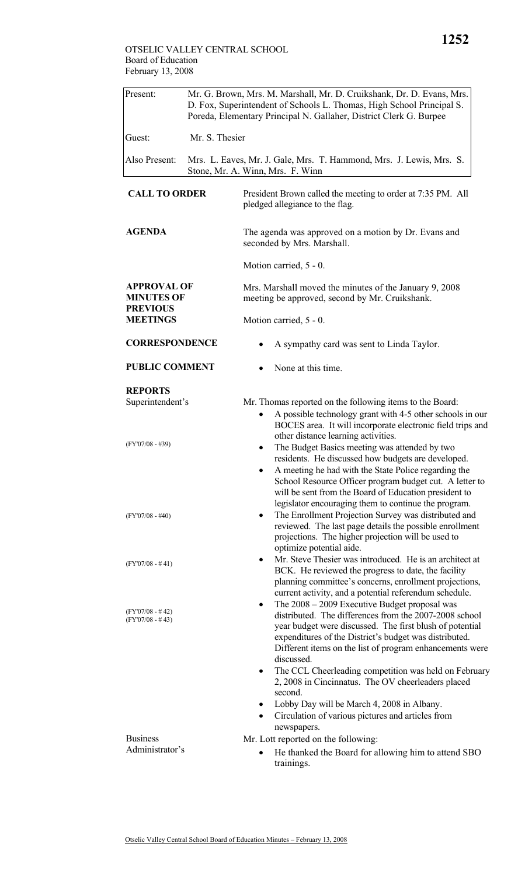| Present:                                                                                                                                         | Mr. G. Brown, Mrs. M. Marshall, Mr. D. Cruikshank, Dr. D. Evans, Mrs.<br>D. Fox, Superintendent of Schools L. Thomas, High School Principal S.<br>Poreda, Elementary Principal N. Gallaher, District Clerk G. Burpee |                                                                                                                                                                                                                                                                                                                                                                                                                                                                                                                                                                                                                                                                                                                                                                                                                                                                                                                                                                                                                                                                                                                                                                                                                                                                                                                                                                                                                                                                                                                      |  |  |  |
|--------------------------------------------------------------------------------------------------------------------------------------------------|----------------------------------------------------------------------------------------------------------------------------------------------------------------------------------------------------------------------|----------------------------------------------------------------------------------------------------------------------------------------------------------------------------------------------------------------------------------------------------------------------------------------------------------------------------------------------------------------------------------------------------------------------------------------------------------------------------------------------------------------------------------------------------------------------------------------------------------------------------------------------------------------------------------------------------------------------------------------------------------------------------------------------------------------------------------------------------------------------------------------------------------------------------------------------------------------------------------------------------------------------------------------------------------------------------------------------------------------------------------------------------------------------------------------------------------------------------------------------------------------------------------------------------------------------------------------------------------------------------------------------------------------------------------------------------------------------------------------------------------------------|--|--|--|
| Guest:                                                                                                                                           | Mr. S. Thesier                                                                                                                                                                                                       |                                                                                                                                                                                                                                                                                                                                                                                                                                                                                                                                                                                                                                                                                                                                                                                                                                                                                                                                                                                                                                                                                                                                                                                                                                                                                                                                                                                                                                                                                                                      |  |  |  |
| Also Present:                                                                                                                                    |                                                                                                                                                                                                                      | Mrs. L. Eaves, Mr. J. Gale, Mrs. T. Hammond, Mrs. J. Lewis, Mrs. S.<br>Stone, Mr. A. Winn, Mrs. F. Winn                                                                                                                                                                                                                                                                                                                                                                                                                                                                                                                                                                                                                                                                                                                                                                                                                                                                                                                                                                                                                                                                                                                                                                                                                                                                                                                                                                                                              |  |  |  |
| <b>CALL TO ORDER</b>                                                                                                                             |                                                                                                                                                                                                                      | President Brown called the meeting to order at 7:35 PM. All<br>pledged allegiance to the flag.                                                                                                                                                                                                                                                                                                                                                                                                                                                                                                                                                                                                                                                                                                                                                                                                                                                                                                                                                                                                                                                                                                                                                                                                                                                                                                                                                                                                                       |  |  |  |
| <b>AGENDA</b>                                                                                                                                    |                                                                                                                                                                                                                      | The agenda was approved on a motion by Dr. Evans and<br>seconded by Mrs. Marshall.                                                                                                                                                                                                                                                                                                                                                                                                                                                                                                                                                                                                                                                                                                                                                                                                                                                                                                                                                                                                                                                                                                                                                                                                                                                                                                                                                                                                                                   |  |  |  |
|                                                                                                                                                  |                                                                                                                                                                                                                      | Motion carried, 5 - 0.                                                                                                                                                                                                                                                                                                                                                                                                                                                                                                                                                                                                                                                                                                                                                                                                                                                                                                                                                                                                                                                                                                                                                                                                                                                                                                                                                                                                                                                                                               |  |  |  |
| <b>APPROVAL OF</b><br><b>MINUTES OF</b><br><b>PREVIOUS</b><br><b>MEETINGS</b>                                                                    |                                                                                                                                                                                                                      | Mrs. Marshall moved the minutes of the January 9, 2008<br>meeting be approved, second by Mr. Cruikshank.                                                                                                                                                                                                                                                                                                                                                                                                                                                                                                                                                                                                                                                                                                                                                                                                                                                                                                                                                                                                                                                                                                                                                                                                                                                                                                                                                                                                             |  |  |  |
|                                                                                                                                                  |                                                                                                                                                                                                                      | Motion carried, 5 - 0.                                                                                                                                                                                                                                                                                                                                                                                                                                                                                                                                                                                                                                                                                                                                                                                                                                                                                                                                                                                                                                                                                                                                                                                                                                                                                                                                                                                                                                                                                               |  |  |  |
| <b>CORRESPONDENCE</b><br><b>PUBLIC COMMENT</b>                                                                                                   |                                                                                                                                                                                                                      | A sympathy card was sent to Linda Taylor.                                                                                                                                                                                                                                                                                                                                                                                                                                                                                                                                                                                                                                                                                                                                                                                                                                                                                                                                                                                                                                                                                                                                                                                                                                                                                                                                                                                                                                                                            |  |  |  |
|                                                                                                                                                  |                                                                                                                                                                                                                      | None at this time.                                                                                                                                                                                                                                                                                                                                                                                                                                                                                                                                                                                                                                                                                                                                                                                                                                                                                                                                                                                                                                                                                                                                                                                                                                                                                                                                                                                                                                                                                                   |  |  |  |
| <b>REPORTS</b><br>Superintendent's<br>$(FY'07/08 - #39)$<br>$(FY'07/08 - #40)$<br>$(FY'07/08 - #41)$<br>$(FY'07/08 - #42)$<br>$(FY'07/08 - #43)$ |                                                                                                                                                                                                                      | Mr. Thomas reported on the following items to the Board:<br>A possible technology grant with 4-5 other schools in our<br>BOCES area. It will incorporate electronic field trips and<br>other distance learning activities.<br>The Budget Basics meeting was attended by two<br>residents. He discussed how budgets are developed.<br>A meeting he had with the State Police regarding the<br>School Resource Officer program budget cut. A letter to<br>will be sent from the Board of Education president to<br>legislator encouraging them to continue the program.<br>The Enrollment Projection Survey was distributed and<br>reviewed. The last page details the possible enrollment<br>projections. The higher projection will be used to<br>optimize potential aide.<br>Mr. Steve Thesier was introduced. He is an architect at<br>٠<br>BCK. He reviewed the progress to date, the facility<br>planning committee's concerns, enrollment projections,<br>current activity, and a potential referendum schedule.<br>The $2008 - 2009$ Executive Budget proposal was<br>٠<br>distributed. The differences from the 2007-2008 school<br>year budget were discussed. The first blush of potential<br>expenditures of the District's budget was distributed.<br>Different items on the list of program enhancements were<br>discussed.<br>The CCL Cheerleading competition was held on February<br>2, 2008 in Cincinnatus. The OV cheerleaders placed<br>second.<br>Lobby Day will be March 4, 2008 in Albany.<br>٠ |  |  |  |
| <b>Business</b><br>Administrator's                                                                                                               |                                                                                                                                                                                                                      | Mr. Lott reported on the following:<br>He thanked the Board for allowing him to attend SBO<br>trainings.                                                                                                                                                                                                                                                                                                                                                                                                                                                                                                                                                                                                                                                                                                                                                                                                                                                                                                                                                                                                                                                                                                                                                                                                                                                                                                                                                                                                             |  |  |  |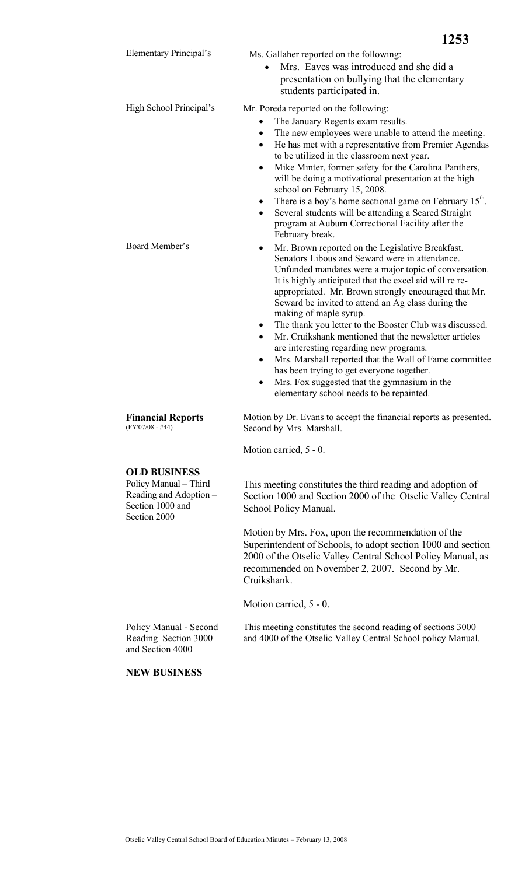|                                                                                                            | 1253                                                                                                                                                                                                                                                                                                                                                                                                                                                                                                                                                                                                                                                                                                                                                                              |  |  |  |
|------------------------------------------------------------------------------------------------------------|-----------------------------------------------------------------------------------------------------------------------------------------------------------------------------------------------------------------------------------------------------------------------------------------------------------------------------------------------------------------------------------------------------------------------------------------------------------------------------------------------------------------------------------------------------------------------------------------------------------------------------------------------------------------------------------------------------------------------------------------------------------------------------------|--|--|--|
| Elementary Principal's                                                                                     | Ms. Gallaher reported on the following:<br>Mrs. Eaves was introduced and she did a<br>presentation on bullying that the elementary<br>students participated in.                                                                                                                                                                                                                                                                                                                                                                                                                                                                                                                                                                                                                   |  |  |  |
| High School Principal's                                                                                    | Mr. Poreda reported on the following:<br>The January Regents exam results.<br>The new employees were unable to attend the meeting.<br>٠<br>He has met with a representative from Premier Agendas<br>$\bullet$<br>to be utilized in the classroom next year.<br>Mike Minter, former safety for the Carolina Panthers,<br>$\bullet$<br>will be doing a motivational presentation at the high<br>school on February 15, 2008.<br>There is a boy's home sectional game on February 15 <sup>th</sup> .<br>٠<br>Several students will be attending a Scared Straight<br>program at Auburn Correctional Facility after the<br>February break.                                                                                                                                            |  |  |  |
| Board Member's                                                                                             | Mr. Brown reported on the Legislative Breakfast.<br>٠<br>Senators Libous and Seward were in attendance.<br>Unfunded mandates were a major topic of conversation.<br>It is highly anticipated that the excel aid will re re-<br>appropriated. Mr. Brown strongly encouraged that Mr.<br>Seward be invited to attend an Ag class during the<br>making of maple syrup.<br>The thank you letter to the Booster Club was discussed.<br>$\bullet$<br>Mr. Cruikshank mentioned that the newsletter articles<br>$\bullet$<br>are interesting regarding new programs.<br>Mrs. Marshall reported that the Wall of Fame committee<br>$\bullet$<br>has been trying to get everyone together.<br>Mrs. Fox suggested that the gymnasium in the<br>٠<br>elementary school needs to be repainted. |  |  |  |
| <b>Financial Reports</b><br>$(FY'07/08 - #44)$                                                             | Motion by Dr. Evans to accept the financial reports as presented.<br>Second by Mrs. Marshall.                                                                                                                                                                                                                                                                                                                                                                                                                                                                                                                                                                                                                                                                                     |  |  |  |
|                                                                                                            | Motion carried, 5 - 0.                                                                                                                                                                                                                                                                                                                                                                                                                                                                                                                                                                                                                                                                                                                                                            |  |  |  |
| <b>OLD BUSINESS</b><br>Policy Manual - Third<br>Reading and Adoption -<br>Section 1000 and<br>Section 2000 | This meeting constitutes the third reading and adoption of<br>Section 1000 and Section 2000 of the Otselic Valley Central<br>School Policy Manual.                                                                                                                                                                                                                                                                                                                                                                                                                                                                                                                                                                                                                                |  |  |  |
|                                                                                                            | Motion by Mrs. Fox, upon the recommendation of the<br>Superintendent of Schools, to adopt section 1000 and section<br>2000 of the Otselic Valley Central School Policy Manual, as<br>recommended on November 2, 2007. Second by Mr.<br>Cruikshank.                                                                                                                                                                                                                                                                                                                                                                                                                                                                                                                                |  |  |  |
|                                                                                                            | Motion carried, 5 - 0.                                                                                                                                                                                                                                                                                                                                                                                                                                                                                                                                                                                                                                                                                                                                                            |  |  |  |
| Policy Manual - Second<br>Reading Section 3000<br>and Section 4000                                         | This meeting constitutes the second reading of sections 3000<br>and 4000 of the Otselic Valley Central School policy Manual.                                                                                                                                                                                                                                                                                                                                                                                                                                                                                                                                                                                                                                                      |  |  |  |
| <b>NEW BUSINESS</b>                                                                                        |                                                                                                                                                                                                                                                                                                                                                                                                                                                                                                                                                                                                                                                                                                                                                                                   |  |  |  |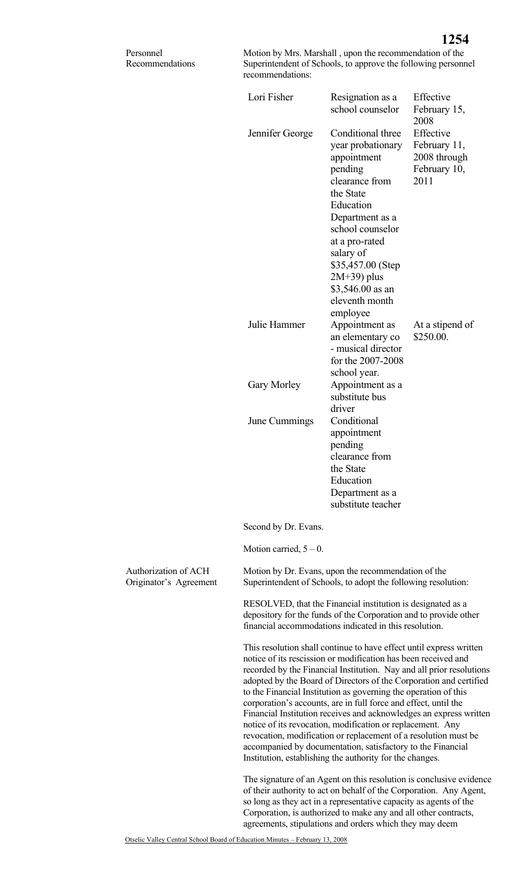| Personnel<br>Recommendations                   | recommendations:                                                                                                                                                                          | Motion by Mrs. Marshall, upon the recommendation of the<br>Superintendent of Schools, to approve the following personnel                                                                                                                                                                                                                                                                                                                                                                                                                                                                                                                                                                                                                                    |                                                                   |  |
|------------------------------------------------|-------------------------------------------------------------------------------------------------------------------------------------------------------------------------------------------|-------------------------------------------------------------------------------------------------------------------------------------------------------------------------------------------------------------------------------------------------------------------------------------------------------------------------------------------------------------------------------------------------------------------------------------------------------------------------------------------------------------------------------------------------------------------------------------------------------------------------------------------------------------------------------------------------------------------------------------------------------------|-------------------------------------------------------------------|--|
|                                                | Lori Fisher                                                                                                                                                                               | Resignation as a<br>school counselor                                                                                                                                                                                                                                                                                                                                                                                                                                                                                                                                                                                                                                                                                                                        | Effective<br>February 15,<br>2008                                 |  |
|                                                | Jennifer George                                                                                                                                                                           | Conditional three<br>year probationary<br>appointment<br>pending<br>clearance from<br>the State<br>Education<br>Department as a<br>school counselor<br>at a pro-rated<br>salary of<br>\$35,457.00 (Step<br>$2M+39$ ) plus<br>\$3,546.00 as an<br>eleventh month<br>employee                                                                                                                                                                                                                                                                                                                                                                                                                                                                                 | Effective<br>February 11,<br>2008 through<br>February 10,<br>2011 |  |
|                                                | Julie Hammer                                                                                                                                                                              | Appointment as<br>an elementary co<br>- musical director<br>for the 2007-2008<br>school year.                                                                                                                                                                                                                                                                                                                                                                                                                                                                                                                                                                                                                                                               | At a stipend of<br>\$250.00.                                      |  |
|                                                | Gary Morley                                                                                                                                                                               | Appointment as a<br>substitute bus<br>driver                                                                                                                                                                                                                                                                                                                                                                                                                                                                                                                                                                                                                                                                                                                |                                                                   |  |
|                                                | June Cummings                                                                                                                                                                             | Conditional<br>appointment<br>pending<br>clearance from<br>the State<br>Education<br>Department as a<br>substitute teacher                                                                                                                                                                                                                                                                                                                                                                                                                                                                                                                                                                                                                                  |                                                                   |  |
|                                                | Second by Dr. Evans.                                                                                                                                                                      |                                                                                                                                                                                                                                                                                                                                                                                                                                                                                                                                                                                                                                                                                                                                                             |                                                                   |  |
|                                                | Motion carried, $5 - 0$ .                                                                                                                                                                 |                                                                                                                                                                                                                                                                                                                                                                                                                                                                                                                                                                                                                                                                                                                                                             |                                                                   |  |
| Authorization of ACH<br>Originator's Agreement |                                                                                                                                                                                           | Motion by Dr. Evans, upon the recommendation of the<br>Superintendent of Schools, to adopt the following resolution:                                                                                                                                                                                                                                                                                                                                                                                                                                                                                                                                                                                                                                        |                                                                   |  |
|                                                | RESOLVED, that the Financial institution is designated as a<br>depository for the funds of the Corporation and to provide other<br>financial accommodations indicated in this resolution. |                                                                                                                                                                                                                                                                                                                                                                                                                                                                                                                                                                                                                                                                                                                                                             |                                                                   |  |
|                                                |                                                                                                                                                                                           | This resolution shall continue to have effect until express written<br>notice of its rescission or modification has been received and<br>recorded by the Financial Institution. Nay and all prior resolutions<br>adopted by the Board of Directors of the Corporation and certified<br>to the Financial Institution as governing the operation of this<br>corporation's accounts, are in full force and effect, until the<br>Financial Institution receives and acknowledges an express written<br>notice of its revocation, modification or replacement. Any<br>revocation, modification or replacement of a resolution must be<br>accompanied by documentation, satisfactory to the Financial<br>Institution, establishing the authority for the changes. |                                                                   |  |
|                                                |                                                                                                                                                                                           | The signature of an Agent on this resolution is conclusive evidence<br>of their authority to act on behalf of the Corporation. Any Agent,<br>so long as they act in a representative capacity as agents of the<br>Corporation, is authorized to make any and all other contracts,                                                                                                                                                                                                                                                                                                                                                                                                                                                                           |                                                                   |  |

agreements, stipulations and orders which they may deem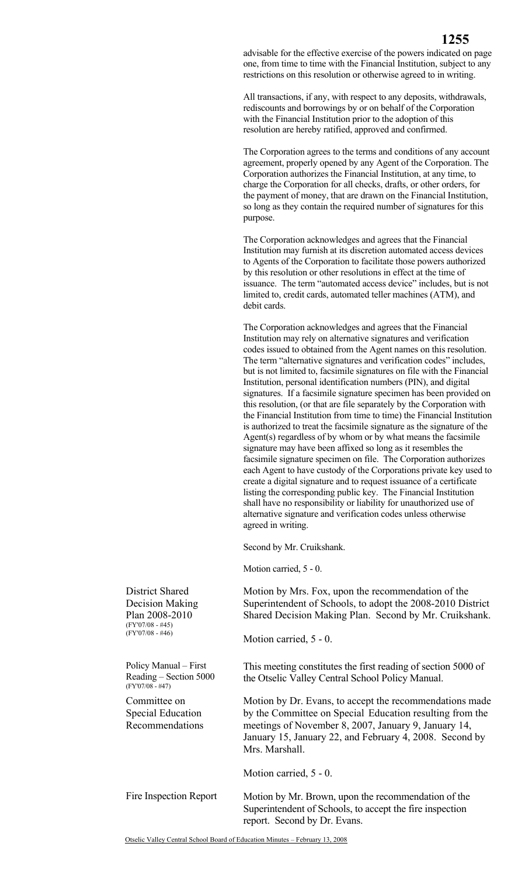**1255**

All transactions, if any, with respect to any deposits, withdrawals, rediscounts and borrowings by or on behalf of the Corporation with the Financial Institution prior to the adoption of this resolution are hereby ratified, approved and confirmed.

The Corporation agrees to the terms and conditions of any account agreement, properly opened by any Agent of the Corporation. The Corporation authorizes the Financial Institution, at any time, to charge the Corporation for all checks, drafts, or other orders, for the payment of money, that are drawn on the Financial Institution, so long as they contain the required number of signatures for this purpose.

The Corporation acknowledges and agrees that the Financial Institution may furnish at its discretion automated access devices to Agents of the Corporation to facilitate those powers authorized by this resolution or other resolutions in effect at the time of issuance. The term "automated access device" includes, but is not limited to, credit cards, automated teller machines (ATM), and debit cards.

The Corporation acknowledges and agrees that the Financial Institution may rely on alternative signatures and verification codes issued to obtained from the Agent names on this resolution. The term "alternative signatures and verification codes" includes, but is not limited to, facsimile signatures on file with the Financial Institution, personal identification numbers (PIN), and digital signatures. If a facsimile signature specimen has been provided on this resolution, (or that are file separately by the Corporation with the Financial Institution from time to time) the Financial Institution is authorized to treat the facsimile signature as the signature of the Agent(s) regardless of by whom or by what means the facsimile signature may have been affixed so long as it resembles the facsimile signature specimen on file. The Corporation authorizes each Agent to have custody of the Corporations private key used to create a digital signature and to request issuance of a certificate listing the corresponding public key. The Financial Institution shall have no responsibility or liability for unauthorized use of alternative signature and verification codes unless otherwise agreed in writing.

Second by Mr. Cruikshank.

Motion carried, 5 - 0.

District Shared Motion by Mrs. Fox, upon the recommendation of the Superintendent of Schools, to adopt the 2008-2010 District Shared Decision Making Plan. Second by Mr. Cruikshank. Motion carried, 5 - 0. Policy Manual – First This meeting constitutes the first reading of section 5000 of the Otselic Valley Central School Policy Manual. Committee on Special Education Recommendations Motion by Dr. Evans, to accept the recommendations made by the Committee on Special Education resulting from the meetings of November 8, 2007, January 9, January 14, January 15, January 22, and February 4, 2008. Second by Mrs. Marshall. Motion carried, 5 - 0. Fire Inspection Report Motion by Mr. Brown, upon the recommendation of the Superintendent of Schools, to accept the fire inspection report. Second by Dr. Evans.

Decision Making Plan 2008-2010 (FY'07/08 - #45)  $(FY'07/08 - #46)$ 

Reading – Section 5000 (FY'07/08 - #47)